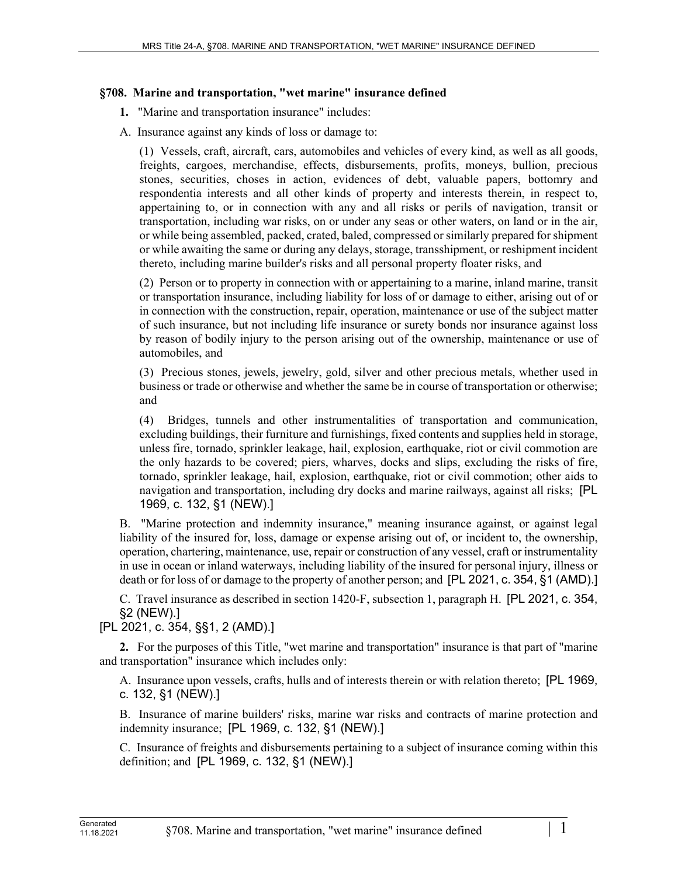## **§708. Marine and transportation, "wet marine" insurance defined**

- **1.** "Marine and transportation insurance" includes:
- A. Insurance against any kinds of loss or damage to:

(1) Vessels, craft, aircraft, cars, automobiles and vehicles of every kind, as well as all goods, freights, cargoes, merchandise, effects, disbursements, profits, moneys, bullion, precious stones, securities, choses in action, evidences of debt, valuable papers, bottomry and respondentia interests and all other kinds of property and interests therein, in respect to, appertaining to, or in connection with any and all risks or perils of navigation, transit or transportation, including war risks, on or under any seas or other waters, on land or in the air, or while being assembled, packed, crated, baled, compressed or similarly prepared for shipment or while awaiting the same or during any delays, storage, transshipment, or reshipment incident thereto, including marine builder's risks and all personal property floater risks, and

(2) Person or to property in connection with or appertaining to a marine, inland marine, transit or transportation insurance, including liability for loss of or damage to either, arising out of or in connection with the construction, repair, operation, maintenance or use of the subject matter of such insurance, but not including life insurance or surety bonds nor insurance against loss by reason of bodily injury to the person arising out of the ownership, maintenance or use of automobiles, and

(3) Precious stones, jewels, jewelry, gold, silver and other precious metals, whether used in business or trade or otherwise and whether the same be in course of transportation or otherwise; and

(4) Bridges, tunnels and other instrumentalities of transportation and communication, excluding buildings, their furniture and furnishings, fixed contents and supplies held in storage, unless fire, tornado, sprinkler leakage, hail, explosion, earthquake, riot or civil commotion are the only hazards to be covered; piers, wharves, docks and slips, excluding the risks of fire, tornado, sprinkler leakage, hail, explosion, earthquake, riot or civil commotion; other aids to navigation and transportation, including dry docks and marine railways, against all risks; [PL 1969, c. 132, §1 (NEW).]

B. "Marine protection and indemnity insurance," meaning insurance against, or against legal liability of the insured for, loss, damage or expense arising out of, or incident to, the ownership, operation, chartering, maintenance, use, repair or construction of any vessel, craft or instrumentality in use in ocean or inland waterways, including liability of the insured for personal injury, illness or death or for loss of or damage to the property of another person; and [PL 2021, c. 354, §1 (AMD).]

C. Travel insurance as described in section 1420-F, subsection 1, paragraph H. [PL 2021, c. 354, §2 (NEW).]

[PL 2021, c. 354, §§1, 2 (AMD).]

**2.** For the purposes of this Title, "wet marine and transportation" insurance is that part of "marine and transportation" insurance which includes only:

A. Insurance upon vessels, crafts, hulls and of interests therein or with relation thereto; [PL 1969, c. 132, §1 (NEW).]

B. Insurance of marine builders' risks, marine war risks and contracts of marine protection and indemnity insurance; [PL 1969, c. 132, §1 (NEW).]

C. Insurance of freights and disbursements pertaining to a subject of insurance coming within this definition; and [PL 1969, c. 132, §1 (NEW).]